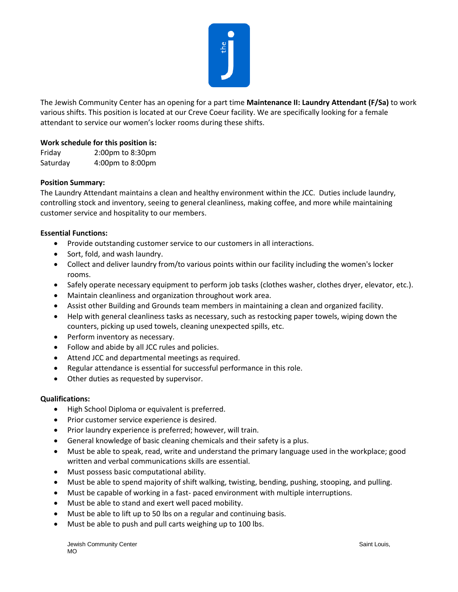

The Jewish Community Center has an opening for a part time **Maintenance II: Laundry Attendant (F/Sa)** to work various shifts. This position is located at our Creve Coeur facility. We are specifically looking for a female attendant to service our women's locker rooms during these shifts.

# **Work schedule for this position is:**

Friday 2:00pm to 8:30pm Saturday 4:00pm to 8:00pm

## **Position Summary:**

The Laundry Attendant maintains a clean and healthy environment within the JCC. Duties include laundry, controlling stock and inventory, seeing to general cleanliness, making coffee, and more while maintaining customer service and hospitality to our members.

### **Essential Functions:**

- Provide outstanding customer service to our customers in all interactions.
- Sort, fold, and wash laundry.
- Collect and deliver laundry from/to various points within our facility including the women's locker rooms.
- Safely operate necessary equipment to perform job tasks (clothes washer, clothes dryer, elevator, etc.).
- Maintain cleanliness and organization throughout work area.
- Assist other Building and Grounds team members in maintaining a clean and organized facility.
- Help with general cleanliness tasks as necessary, such as restocking paper towels, wiping down the counters, picking up used towels, cleaning unexpected spills, etc.
- Perform inventory as necessary.
- Follow and abide by all JCC rules and policies.
- Attend JCC and departmental meetings as required.
- Regular attendance is essential for successful performance in this role.
- Other duties as requested by supervisor.

### **Qualifications:**

- High School Diploma or equivalent is preferred.
- Prior customer service experience is desired.
- Prior laundry experience is preferred; however, will train.
- General knowledge of basic cleaning chemicals and their safety is a plus.
- Must be able to speak, read, write and understand the primary language used in the workplace; good written and verbal communications skills are essential.
- Must possess basic computational ability.
- Must be able to spend majority of shift walking, twisting, bending, pushing, stooping, and pulling.
- Must be capable of working in a fast- paced environment with multiple interruptions.
- Must be able to stand and exert well paced mobility.
- Must be able to lift up to 50 lbs on a regular and continuing basis.
- Must be able to push and pull carts weighing up to 100 lbs.